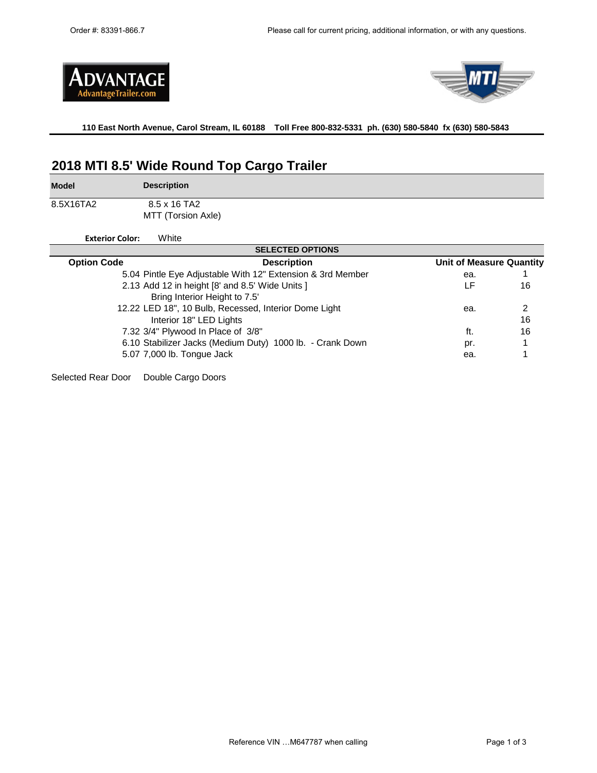



**110 East North Avenue, Carol Stream, IL 60188 Toll Free 800-832-5331 ph. (630) 580-5840 fx (630) 580-5843** 

# **2018 MTI 8.5' Wide Round Top Cargo Trailer**

**Model**

×

8.5X16TA2

**Description** 8.5 x 16 TA2

MTT (Torsion Axle)

**Exterior Color:** White

| <b>SELECTED OPTIONS</b> |                                                            |                          |    |  |  |  |  |
|-------------------------|------------------------------------------------------------|--------------------------|----|--|--|--|--|
| <b>Option Code</b>      | <b>Description</b>                                         | Unit of Measure Quantity |    |  |  |  |  |
|                         | 5.04 Pintle Eye Adjustable With 12" Extension & 3rd Member | ea.                      |    |  |  |  |  |
|                         | 2.13 Add 12 in height [8' and 8.5' Wide Units ]            | LF                       | 16 |  |  |  |  |
|                         | Bring Interior Height to 7.5'                              |                          |    |  |  |  |  |
|                         | 12.22 LED 18", 10 Bulb, Recessed, Interior Dome Light      | ea.                      | 2  |  |  |  |  |
|                         | Interior 18" LED Lights                                    |                          | 16 |  |  |  |  |
|                         | 7.32 3/4" Plywood In Place of 3/8"                         | ft.                      | 16 |  |  |  |  |
|                         | 6.10 Stabilizer Jacks (Medium Duty) 1000 lb. - Crank Down  | pr.                      |    |  |  |  |  |
|                         | 5.07 7,000 lb. Tongue Jack                                 | ea.                      |    |  |  |  |  |
|                         |                                                            |                          |    |  |  |  |  |

Selected Rear Door Double Cargo Doors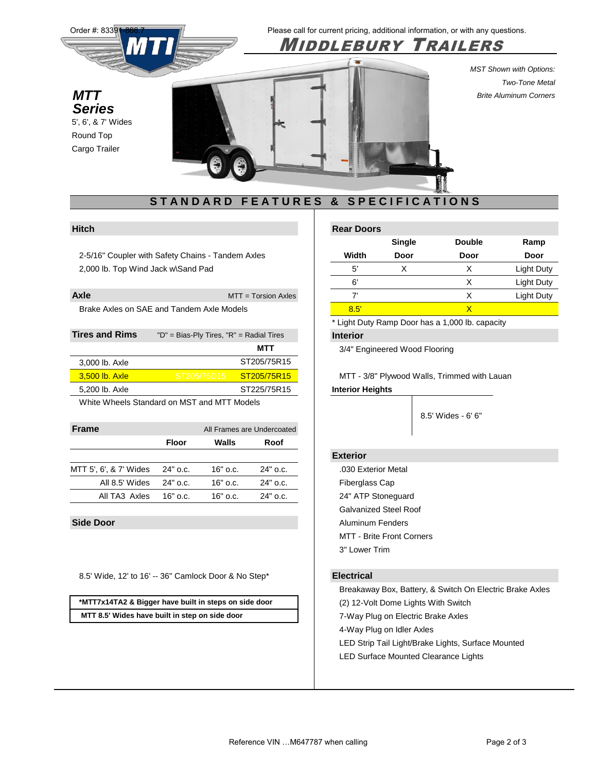

2-5/16" Coupler with Safety Chains - Tandem Axles 2,000 lb. Top Wind Jack w\Sand Pad

| Axle                                      | $MTT = Torsion Axles$ |
|-------------------------------------------|-----------------------|
| Brake Axles on SAE and Tandem Axle Models |                       |

| <b>Tires and Rims</b> | "D" = Bias-Ply Tires, "R" = Radial Tires |             | <b>Interior</b>                        |
|-----------------------|------------------------------------------|-------------|----------------------------------------|
|                       |                                          | MTT         | 3/4" Engineered Wood Flooring          |
| 3,000 lb. Axle        |                                          | ST205/75R15 |                                        |
| 3.500 lb. Axle        | ' ST205/75D15 ا                          | ST205/75R15 | MTT - 3/8" Plywood Walls, Trimmed with |
| 5,200 lb. Axle        |                                          | ST225/75R15 | <b>Interior Heights</b>                |
|                       |                                          |             |                                        |

White Wheels Standard on MST and MTT Models

| <b>Frame</b>                    |              | All Frames are Undercoated |            |                 |
|---------------------------------|--------------|----------------------------|------------|-----------------|
|                                 | <b>Floor</b> | Walls                      | Roof       |                 |
|                                 |              |                            |            | <b>Exterior</b> |
| MTT 5', 6', & 7' Wides 24" o.c. |              | 16" o.c.                   | 24" o.c.   | .030 Exterior   |
| All 8.5' Wides                  | 24" o.c.     | 16" o.c.                   | $24"$ o.c. | Fiberglass C    |
| All TA3 Axles 16" o.c.          |              | 16" o.c.                   | 24" o.c.   | 24" ATP Sto     |

8.5' Wide, 12' to 16' -- 36" Camlock Door & No Step\* **Electrical**

**\*MTT7x14TA2 & Bigger have built in steps on side door MTT 8.5' Wides have built in step on side door**

| Hitch |  |  | <b>Rear Doors</b> |
|-------|--|--|-------------------|
|-------|--|--|-------------------|

|       | <b>Single</b> | <b>Double</b> | Ramp              |
|-------|---------------|---------------|-------------------|
| Width | Door          | Door          | Door              |
| 5'    |               | Χ             | Light Duty        |
| 6'    |               | Χ             | <b>Light Duty</b> |
| 7     |               | x             | Light Duty        |
| 8.5   |               |               |                   |

\* Light Duty Ramp Door has a 1,000 lb. capacity

MTT - 3/8" Plywood Walls, Trimmed with Lauan **Interior Heights** 

5' Wides - 5' 8.5' Wides - 6' 6"

.030 Exterior Metal Fiberglass Cap 24" ATP Stoneguard Galvanized Steel Roof **Side Door** Aluminum Fenders MTT - Brite Front Corners 3" Lower Trim

Breakaway Box, Battery, & Switch On Electric Brake Axles (2) 12-Volt Dome Lights With Switch 7-Way Plug on Electric Brake Axles 4-Way Plug on Idler Axles LED Strip Tail Light/Brake Lights, Surface Mounted LED Surface Mounted Clearance Lights